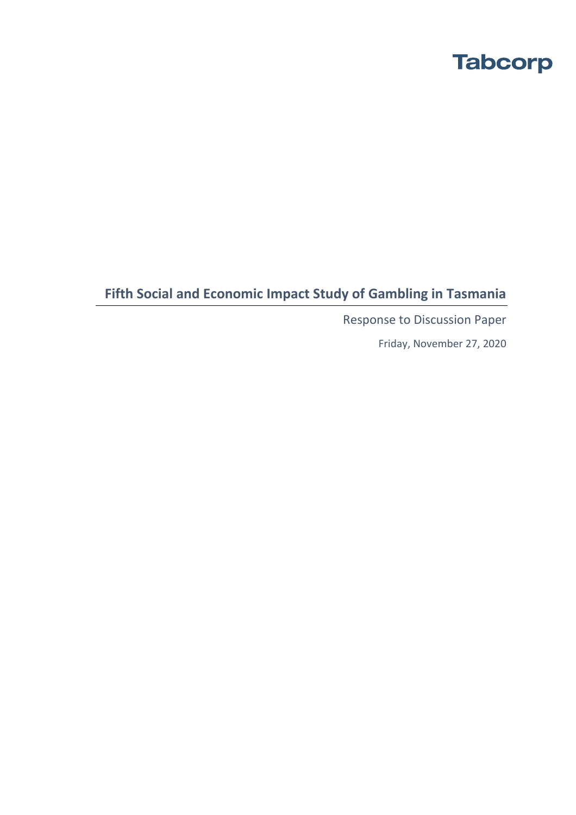# **Fifth Social and Economic Impact Study of Gambling in Tasmania**

Response to Discussion Paper

Friday, November 27, 2020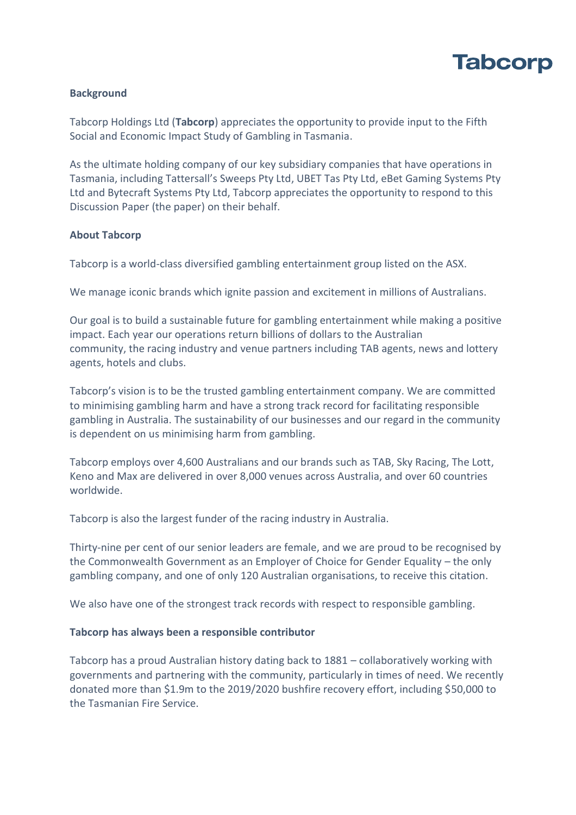

# **Background**

Tabcorp Holdings Ltd (**Tabcorp**) appreciates the opportunity to provide input to the Fifth Social and Economic Impact Study of Gambling in Tasmania.

As the ultimate holding company of our key subsidiary companies that have operations in Tasmania, including Tattersall's Sweeps Pty Ltd, UBET Tas Pty Ltd, eBet Gaming Systems Pty Ltd and Bytecraft Systems Pty Ltd, Tabcorp appreciates the opportunity to respond to this Discussion Paper (the paper) on their behalf.

### **About Tabcorp**

Tabcorp is a world-class diversified gambling entertainment group listed on the ASX.

We manage iconic brands which ignite passion and excitement in millions of Australians.

Our goal is to build a sustainable future for gambling entertainment while making a positive impact. Each year our operations return billions of dollars to the Australian community, the racing industry and venue partners including TAB agents, news and lottery agents, hotels and clubs.

Tabcorp's vision is to be the trusted gambling entertainment company. We are committed to minimising gambling harm and have a strong track record for facilitating responsible gambling in Australia. The sustainability of our businesses and our regard in the community is dependent on us minimising harm from gambling.

Tabcorp employs over 4,600 Australians and our brands such as TAB, Sky Racing, The Lott, Keno and Max are delivered in over 8,000 venues across Australia, and over 60 countries worldwide.

Tabcorp is also the largest funder of the racing industry in Australia.

Thirty-nine per cent of our senior leaders are female, and we are proud to be recognised by the Commonwealth Government as an Employer of Choice for Gender Equality – the only gambling company, and one of only 120 Australian organisations, to receive this citation.

We also have one of the strongest track records with respect to responsible gambling.

### **Tabcorp has always been a responsible contributor**

Tabcorp has a proud Australian history dating back to 1881 – collaboratively working with governments and partnering with the community, particularly in times of need. We recently donated more than \$1.9m to the 2019/2020 bushfire recovery effort, including \$50,000 to the Tasmanian Fire Service.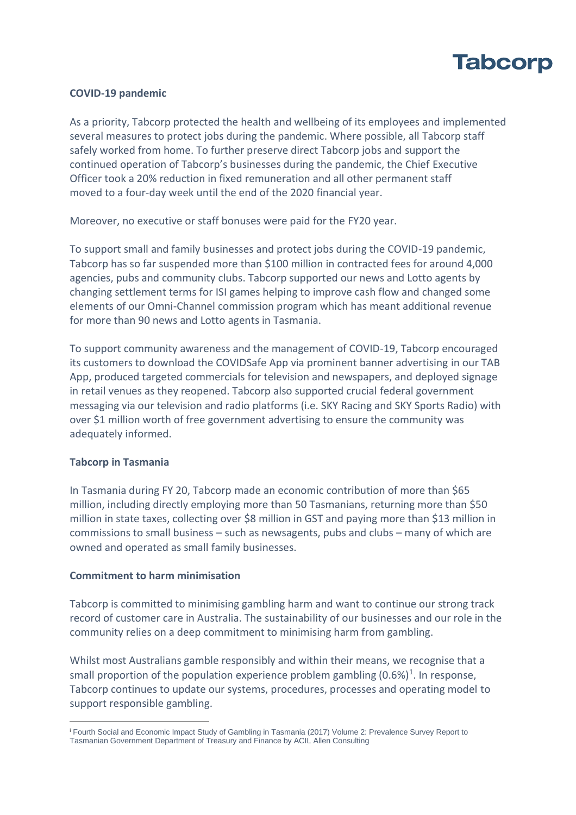

### **COVID-19 pandemic**

As a priority, Tabcorp protected the health and wellbeing of its employees and implemented several measures to protect jobs during the pandemic. Where possible, all Tabcorp staff safely worked from home. To further preserve direct Tabcorp jobs and support the continued operation of Tabcorp's businesses during the pandemic, the Chief Executive Officer took a 20% reduction in fixed remuneration and all other permanent staff moved to a four-day week until the end of the 2020 financial year.

Moreover, no executive or staff bonuses were paid for the FY20 year.

To support small and family businesses and protect jobs during the COVID-19 pandemic, Tabcorp has so far suspended more than \$100 million in contracted fees for around 4,000 agencies, pubs and community clubs. Tabcorp supported our news and Lotto agents by changing settlement terms for ISI games helping to improve cash flow and changed some elements of our Omni-Channel commission program which has meant additional revenue for more than 90 news and Lotto agents in Tasmania.

To support community awareness and the management of COVID-19, Tabcorp encouraged its customers to download the COVIDSafe App via prominent banner advertising in our TAB App, produced targeted commercials for television and newspapers, and deployed signage in retail venues as they reopened. Tabcorp also supported crucial federal government messaging via our television and radio platforms (i.e. SKY Racing and SKY Sports Radio) with over \$1 million worth of free government advertising to ensure the community was adequately informed.

### **Tabcorp in Tasmania**

In Tasmania during FY 20, Tabcorp made an economic contribution of more than \$65 million, including directly employing more than 50 Tasmanians, returning more than \$50 million in state taxes, collecting over \$8 million in GST and paying more than \$13 million in commissions to small business – such as newsagents, pubs and clubs – many of which are owned and operated as small family businesses.

### **Commitment to harm minimisation**

Tabcorp is committed to minimising gambling harm and want to continue our strong track record of customer care in Australia. The sustainability of our businesses and our role in the community relies on a deep commitment to minimising harm from gambling.

Whilst most Australians gamble responsibly and within their means, we recognise that a small proportion of the population experience problem gambling  $(0.6%)^1$ . In response, Tabcorp continues to update our systems, procedures, processes and operating model to support responsible gambling.

<sup>i</sup> Fourth Social and Economic Impact Study of Gambling in Tasmania (2017) Volume 2: Prevalence Survey Report to Tasmanian Government Department of Treasury and Finance by ACIL Allen Consulting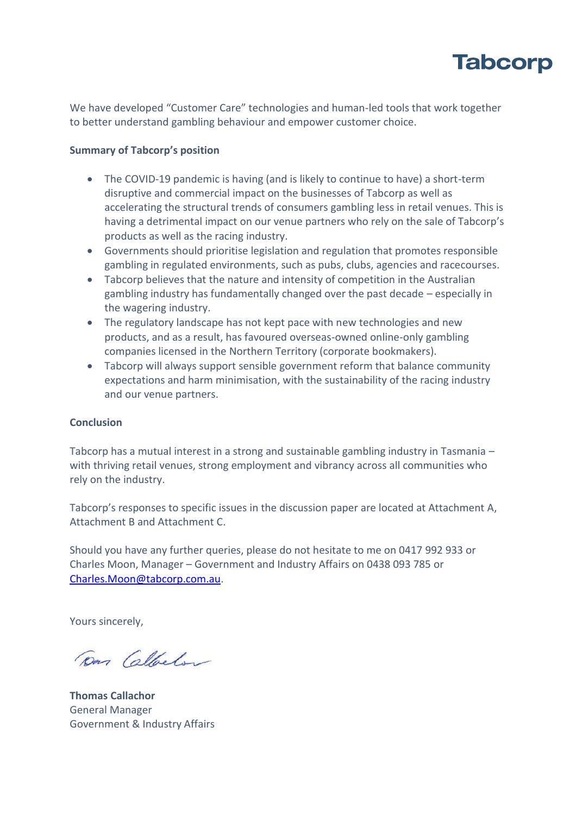

We have developed "Customer Care" technologies and human-led tools that work together to better understand gambling behaviour and empower customer choice.

### **Summary of Tabcorp's position**

- The COVID-19 pandemic is having (and is likely to continue to have) a short-term disruptive and commercial impact on the businesses of Tabcorp as well as accelerating the structural trends of consumers gambling less in retail venues. This is having a detrimental impact on our venue partners who rely on the sale of Tabcorp's products as well as the racing industry.
- Governments should prioritise legislation and regulation that promotes responsible gambling in regulated environments, such as pubs, clubs, agencies and racecourses.
- Tabcorp believes that the nature and intensity of competition in the Australian gambling industry has fundamentally changed over the past decade – especially in the wagering industry.
- The regulatory landscape has not kept pace with new technologies and new products, and as a result, has favoured overseas-owned online-only gambling companies licensed in the Northern Territory (corporate bookmakers).
- Tabcorp will always support sensible government reform that balance community expectations and harm minimisation, with the sustainability of the racing industry and our venue partners.

### **Conclusion**

Tabcorp has a mutual interest in a strong and sustainable gambling industry in Tasmania – with thriving retail venues, strong employment and vibrancy across all communities who rely on the industry.

Tabcorp's responses to specific issues in the discussion paper are located at Attachment A, Attachment B and Attachment C.

Should you have any further queries, please do not hesitate to me on 0417 992 933 or Charles Moon, Manager – Government and Industry Affairs on 0438 093 785 or [Charles.Moon@tabcorp.com.au.](mailto:Charles.Moon@tabcorp.com.au)

Yours sincerely,

Dan Callacton

**Thomas Callachor** General Manager Government & Industry Affairs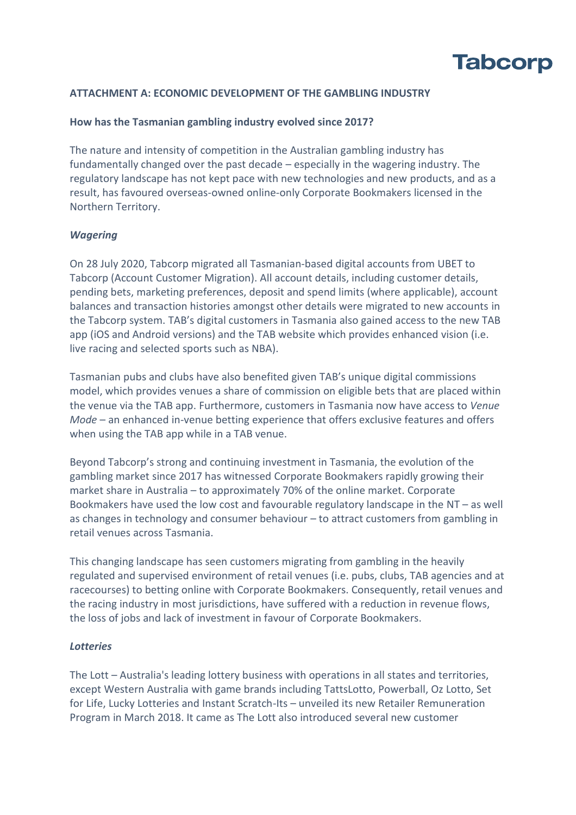

# **ATTACHMENT A: ECONOMIC DEVELOPMENT OF THE GAMBLING INDUSTRY**

### **How has the Tasmanian gambling industry evolved since 2017?**

The nature and intensity of competition in the Australian gambling industry has fundamentally changed over the past decade – especially in the wagering industry. The regulatory landscape has not kept pace with new technologies and new products, and as a result, has favoured overseas-owned online-only Corporate Bookmakers licensed in the Northern Territory.

### *Wagering*

On 28 July 2020, Tabcorp migrated all Tasmanian-based digital accounts from UBET to Tabcorp (Account Customer Migration). All account details, including customer details, pending bets, marketing preferences, deposit and spend limits (where applicable), account balances and transaction histories amongst other details were migrated to new accounts in the Tabcorp system. TAB's digital customers in Tasmania also gained access to the new TAB app (iOS and Android versions) and the TAB website which provides enhanced vision (i.e. live racing and selected sports such as NBA).

Tasmanian pubs and clubs have also benefited given TAB's unique digital commissions model, which provides venues a share of commission on eligible bets that are placed within the venue via the TAB app. Furthermore, customers in Tasmania now have access to *Venue Mode* – an enhanced in-venue betting experience that offers exclusive features and offers when using the TAB app while in a TAB venue.

Beyond Tabcorp's strong and continuing investment in Tasmania, the evolution of the gambling market since 2017 has witnessed Corporate Bookmakers rapidly growing their market share in Australia – to approximately 70% of the online market. Corporate Bookmakers have used the low cost and favourable regulatory landscape in the NT – as well as changes in technology and consumer behaviour – to attract customers from gambling in retail venues across Tasmania.

This changing landscape has seen customers migrating from gambling in the heavily regulated and supervised environment of retail venues (i.e. pubs, clubs, TAB agencies and at racecourses) to betting online with Corporate Bookmakers. Consequently, retail venues and the racing industry in most jurisdictions, have suffered with a reduction in revenue flows, the loss of jobs and lack of investment in favour of Corporate Bookmakers.

# *Lotteries*

The Lott – Australia's leading lottery business with operations in all states and territories, except Western Australia with game brands including TattsLotto, Powerball, Oz Lotto, Set for Life, Lucky Lotteries and Instant Scratch-Its – unveiled its new Retailer Remuneration Program in March 2018. It came as The Lott also introduced several new customer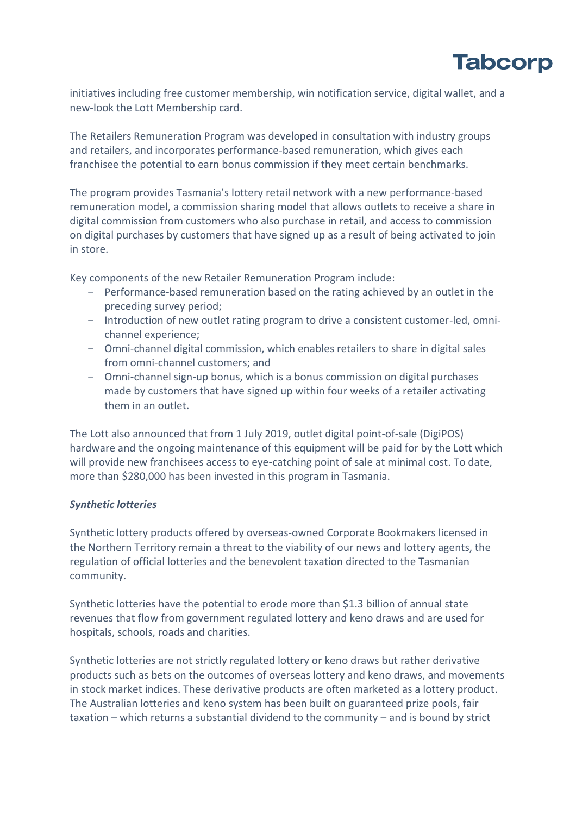

initiatives including free customer membership, win notification service, digital wallet, and a new-look the Lott Membership card.

The Retailers Remuneration Program was developed in consultation with industry groups and retailers, and incorporates performance-based remuneration, which gives each franchisee the potential to earn bonus commission if they meet certain benchmarks.

The program provides Tasmania's lottery retail network with a new performance-based remuneration model, a commission sharing model that allows outlets to receive a share in digital commission from customers who also purchase in retail, and access to commission on digital purchases by customers that have signed up as a result of being activated to join in store.

Key components of the new Retailer Remuneration Program include:

- Performance-based remuneration based on the rating achieved by an outlet in the preceding survey period;
- Introduction of new outlet rating program to drive a consistent customer-led, omnichannel experience;
- Omni-channel digital commission, which enables retailers to share in digital sales from omni-channel customers; and
- Omni-channel sign-up bonus, which is a bonus commission on digital purchases made by customers that have signed up within four weeks of a retailer activating them in an outlet.

The Lott also announced that from 1 July 2019, outlet digital point-of-sale (DigiPOS) hardware and the ongoing maintenance of this equipment will be paid for by the Lott which will provide new franchisees access to eye-catching point of sale at minimal cost. To date, more than \$280,000 has been invested in this program in Tasmania.

# *Synthetic lotteries*

Synthetic lottery products offered by overseas-owned Corporate Bookmakers licensed in the Northern Territory remain a threat to the viability of our news and lottery agents, the regulation of official lotteries and the benevolent taxation directed to the Tasmanian community.

Synthetic lotteries have the potential to erode more than \$1.3 billion of annual state revenues that flow from government regulated lottery and keno draws and are used for hospitals, schools, roads and charities.

Synthetic lotteries are not strictly regulated lottery or keno draws but rather derivative products such as bets on the outcomes of overseas lottery and keno draws, and movements in stock market indices. These derivative products are often marketed as a lottery product. The Australian lotteries and keno system has been built on guaranteed prize pools, fair taxation – which returns a substantial dividend to the community – and is bound by strict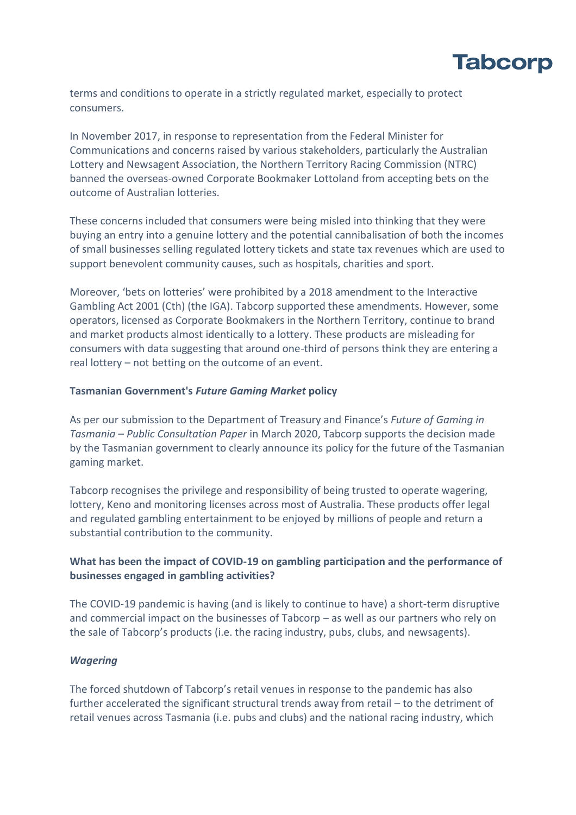

terms and conditions to operate in a strictly regulated market, especially to protect consumers.

In November 2017, in response to representation from the Federal Minister for Communications and concerns raised by various stakeholders, particularly the Australian Lottery and Newsagent Association, the Northern Territory Racing Commission (NTRC) banned the overseas-owned Corporate Bookmaker Lottoland from accepting bets on the outcome of Australian lotteries.

These concerns included that consumers were being misled into thinking that they were buying an entry into a genuine lottery and the potential cannibalisation of both the incomes of small businesses selling regulated lottery tickets and state tax revenues which are used to support benevolent community causes, such as hospitals, charities and sport.

Moreover, 'bets on lotteries' were prohibited by a 2018 amendment to the Interactive Gambling Act 2001 (Cth) (the IGA). Tabcorp supported these amendments. However, some operators, licensed as Corporate Bookmakers in the Northern Territory, continue to brand and market products almost identically to a lottery. These products are misleading for consumers with data suggesting that around one-third of persons think they are entering a real lottery – not betting on the outcome of an event.

### **Tasmanian Government's** *Future Gaming Market* **policy**

As per our submission to the Department of Treasury and Finance's *Future of Gaming in Tasmania – Public Consultation Paper* in March 2020, Tabcorp supports the decision made by the Tasmanian government to clearly announce its policy for the future of the Tasmanian gaming market.

Tabcorp recognises the privilege and responsibility of being trusted to operate wagering, lottery, Keno and monitoring licenses across most of Australia. These products offer legal and regulated gambling entertainment to be enjoyed by millions of people and return a substantial contribution to the community.

# **What has been the impact of COVID-19 on gambling participation and the performance of businesses engaged in gambling activities?**

The COVID-19 pandemic is having (and is likely to continue to have) a short-term disruptive and commercial impact on the businesses of Tabcorp – as well as our partners who rely on the sale of Tabcorp's products (i.e. the racing industry, pubs, clubs, and newsagents).

### *Wagering*

The forced shutdown of Tabcorp's retail venues in response to the pandemic has also further accelerated the significant structural trends away from retail – to the detriment of retail venues across Tasmania (i.e. pubs and clubs) and the national racing industry, which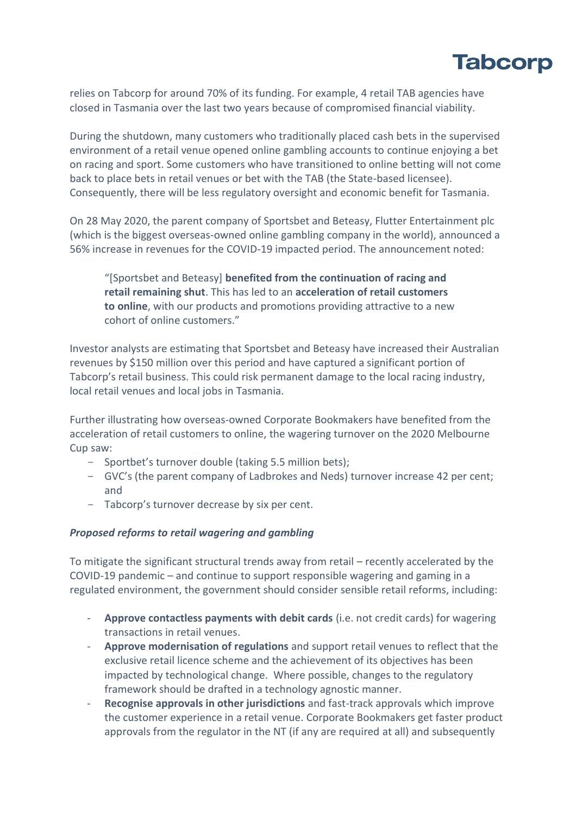

relies on Tabcorp for around 70% of its funding. For example, 4 retail TAB agencies have closed in Tasmania over the last two years because of compromised financial viability.

During the shutdown, many customers who traditionally placed cash bets in the supervised environment of a retail venue opened online gambling accounts to continue enjoying a bet on racing and sport. Some customers who have transitioned to online betting will not come back to place bets in retail venues or bet with the TAB (the State-based licensee). Consequently, there will be less regulatory oversight and economic benefit for Tasmania.

On 28 May 2020, the parent company of Sportsbet and Beteasy, Flutter Entertainment plc (which is the biggest overseas-owned online gambling company in the world), announced a 56% increase in revenues for the COVID-19 impacted period. The announcement noted:

"[Sportsbet and Beteasy] **benefited from the continuation of racing and retail remaining shut**. This has led to an **acceleration of retail customers to online**, with our products and promotions providing attractive to a new cohort of online customers."

Investor analysts are estimating that Sportsbet and Beteasy have increased their Australian revenues by \$150 million over this period and have captured a significant portion of Tabcorp's retail business. This could risk permanent damage to the local racing industry, local retail venues and local jobs in Tasmania.

Further illustrating how overseas-owned Corporate Bookmakers have benefited from the acceleration of retail customers to online, the wagering turnover on the 2020 Melbourne Cup saw:

- Sportbet's turnover double (taking 5.5 million bets);
- GVC's (the parent company of Ladbrokes and Neds) turnover increase 42 per cent; and
- Tabcorp's turnover decrease by six per cent.

### *Proposed reforms to retail wagering and gambling*

To mitigate the significant structural trends away from retail – recently accelerated by the COVID-19 pandemic – and continue to support responsible wagering and gaming in a regulated environment, the government should consider sensible retail reforms, including:

- **Approve contactless payments with debit cards** (i.e. not credit cards) for wagering transactions in retail venues.
- **Approve modernisation of regulations** and support retail venues to reflect that the exclusive retail licence scheme and the achievement of its objectives has been impacted by technological change. Where possible, changes to the regulatory framework should be drafted in a technology agnostic manner.
- Recognise approvals in other jurisdictions and fast-track approvals which improve the customer experience in a retail venue. Corporate Bookmakers get faster product approvals from the regulator in the NT (if any are required at all) and subsequently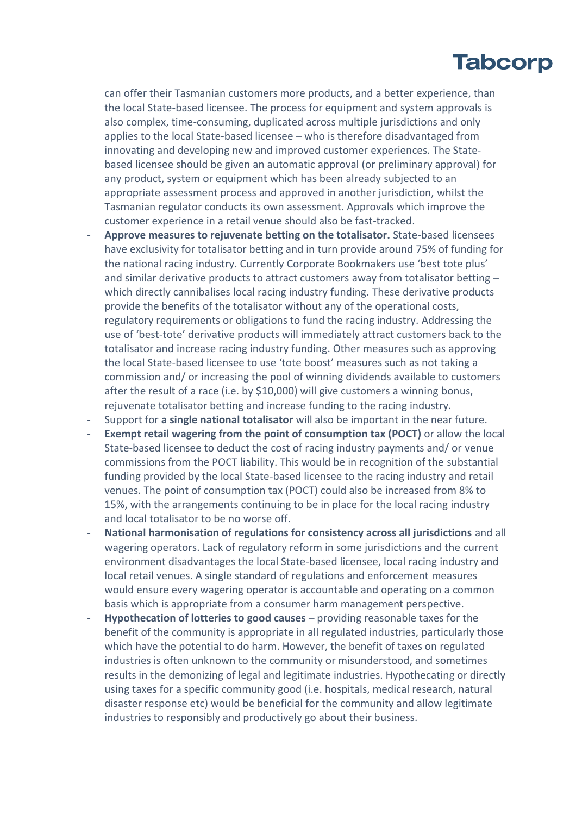can offer their Tasmanian customers more products, and a better experience, than the local State-based licensee. The process for equipment and system approvals is also complex, time-consuming, duplicated across multiple jurisdictions and only applies to the local State-based licensee – who is therefore disadvantaged from innovating and developing new and improved customer experiences. The Statebased licensee should be given an automatic approval (or preliminary approval) for any product, system or equipment which has been already subjected to an appropriate assessment process and approved in another jurisdiction, whilst the Tasmanian regulator conducts its own assessment. Approvals which improve the customer experience in a retail venue should also be fast-tracked.

- **Approve measures to rejuvenate betting on the totalisator.** State-based licensees have exclusivity for totalisator betting and in turn provide around 75% of funding for the national racing industry. Currently Corporate Bookmakers use 'best tote plus' and similar derivative products to attract customers away from totalisator betting – which directly cannibalises local racing industry funding. These derivative products provide the benefits of the totalisator without any of the operational costs, regulatory requirements or obligations to fund the racing industry. Addressing the use of 'best-tote' derivative products will immediately attract customers back to the totalisator and increase racing industry funding. Other measures such as approving the local State-based licensee to use 'tote boost' measures such as not taking a commission and/ or increasing the pool of winning dividends available to customers after the result of a race (i.e. by \$10,000) will give customers a winning bonus, rejuvenate totalisator betting and increase funding to the racing industry.
- Support for **a single national totalisator** will also be important in the near future.
- **Exempt retail wagering from the point of consumption tax (POCT)** or allow the local State-based licensee to deduct the cost of racing industry payments and/ or venue commissions from the POCT liability. This would be in recognition of the substantial funding provided by the local State-based licensee to the racing industry and retail venues. The point of consumption tax (POCT) could also be increased from 8% to 15%, with the arrangements continuing to be in place for the local racing industry and local totalisator to be no worse off.
- **National harmonisation of regulations for consistency across all jurisdictions** and all wagering operators. Lack of regulatory reform in some jurisdictions and the current environment disadvantages the local State-based licensee, local racing industry and local retail venues. A single standard of regulations and enforcement measures would ensure every wagering operator is accountable and operating on a common basis which is appropriate from a consumer harm management perspective.
- Hypothecation of lotteries to good causes providing reasonable taxes for the benefit of the community is appropriate in all regulated industries, particularly those which have the potential to do harm. However, the benefit of taxes on regulated industries is often unknown to the community or misunderstood, and sometimes results in the demonizing of legal and legitimate industries. Hypothecating or directly using taxes for a specific community good (i.e. hospitals, medical research, natural disaster response etc) would be beneficial for the community and allow legitimate industries to responsibly and productively go about their business.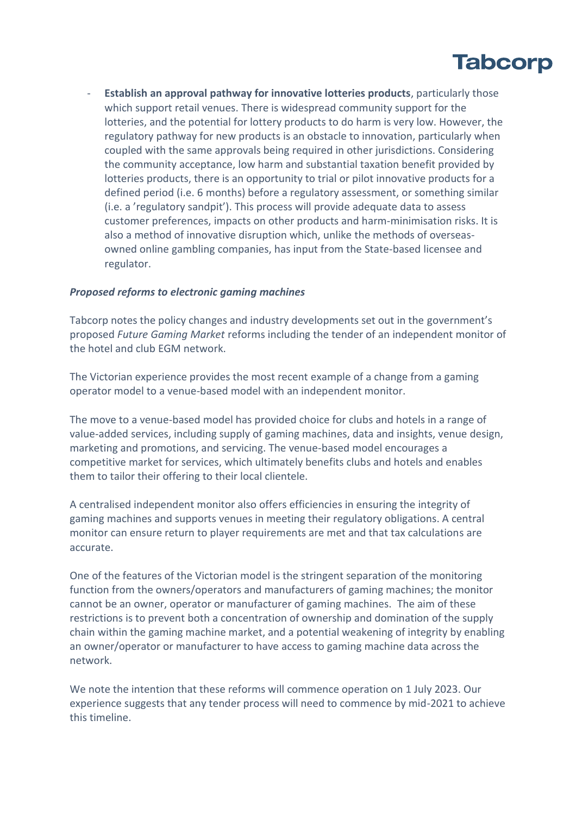

- **Establish an approval pathway for innovative lotteries products**, particularly those which support retail venues. There is widespread community support for the lotteries, and the potential for lottery products to do harm is very low. However, the regulatory pathway for new products is an obstacle to innovation, particularly when coupled with the same approvals being required in other jurisdictions. Considering the community acceptance, low harm and substantial taxation benefit provided by lotteries products, there is an opportunity to trial or pilot innovative products for a defined period (i.e. 6 months) before a regulatory assessment, or something similar (i.e. a 'regulatory sandpit'). This process will provide adequate data to assess customer preferences, impacts on other products and harm-minimisation risks. It is also a method of innovative disruption which, unlike the methods of overseasowned online gambling companies, has input from the State-based licensee and regulator.

### *Proposed reforms to electronic gaming machines*

Tabcorp notes the policy changes and industry developments set out in the government's proposed *Future Gaming Market* reforms including the tender of an independent monitor of the hotel and club EGM network.

The Victorian experience provides the most recent example of a change from a gaming operator model to a venue-based model with an independent monitor.

The move to a venue-based model has provided choice for clubs and hotels in a range of value-added services, including supply of gaming machines, data and insights, venue design, marketing and promotions, and servicing. The venue-based model encourages a competitive market for services, which ultimately benefits clubs and hotels and enables them to tailor their offering to their local clientele.

A centralised independent monitor also offers efficiencies in ensuring the integrity of gaming machines and supports venues in meeting their regulatory obligations. A central monitor can ensure return to player requirements are met and that tax calculations are accurate.

One of the features of the Victorian model is the stringent separation of the monitoring function from the owners/operators and manufacturers of gaming machines; the monitor cannot be an owner, operator or manufacturer of gaming machines. The aim of these restrictions is to prevent both a concentration of ownership and domination of the supply chain within the gaming machine market, and a potential weakening of integrity by enabling an owner/operator or manufacturer to have access to gaming machine data across the network.

We note the intention that these reforms will commence operation on 1 July 2023. Our experience suggests that any tender process will need to commence by mid-2021 to achieve this timeline.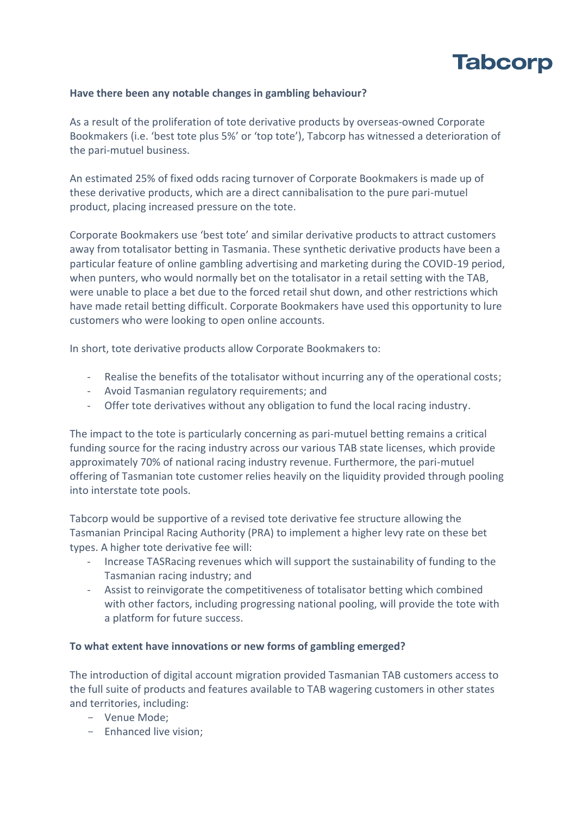

# **Have there been any notable changes in gambling behaviour?**

As a result of the proliferation of tote derivative products by overseas-owned Corporate Bookmakers (i.e. 'best tote plus 5%' or 'top tote'), Tabcorp has witnessed a deterioration of the pari-mutuel business.

An estimated 25% of fixed odds racing turnover of Corporate Bookmakers is made up of these derivative products, which are a direct cannibalisation to the pure pari-mutuel product, placing increased pressure on the tote.

Corporate Bookmakers use 'best tote' and similar derivative products to attract customers away from totalisator betting in Tasmania. These synthetic derivative products have been a particular feature of online gambling advertising and marketing during the COVID-19 period, when punters, who would normally bet on the totalisator in a retail setting with the TAB, were unable to place a bet due to the forced retail shut down, and other restrictions which have made retail betting difficult. Corporate Bookmakers have used this opportunity to lure customers who were looking to open online accounts.

In short, tote derivative products allow Corporate Bookmakers to:

- Realise the benefits of the totalisator without incurring any of the operational costs;
- Avoid Tasmanian regulatory requirements; and
- Offer tote derivatives without any obligation to fund the local racing industry.

The impact to the tote is particularly concerning as pari-mutuel betting remains a critical funding source for the racing industry across our various TAB state licenses, which provide approximately 70% of national racing industry revenue. Furthermore, the pari-mutuel offering of Tasmanian tote customer relies heavily on the liquidity provided through pooling into interstate tote pools.

Tabcorp would be supportive of a revised tote derivative fee structure allowing the Tasmanian Principal Racing Authority (PRA) to implement a higher levy rate on these bet types. A higher tote derivative fee will:

- Increase TASRacing revenues which will support the sustainability of funding to the Tasmanian racing industry; and
- Assist to reinvigorate the competitiveness of totalisator betting which combined with other factors, including progressing national pooling, will provide the tote with a platform for future success.

### **To what extent have innovations or new forms of gambling emerged?**

The introduction of digital account migration provided Tasmanian TAB customers access to the full suite of products and features available to TAB wagering customers in other states and territories, including:

- Venue Mode;
- Enhanced live vision;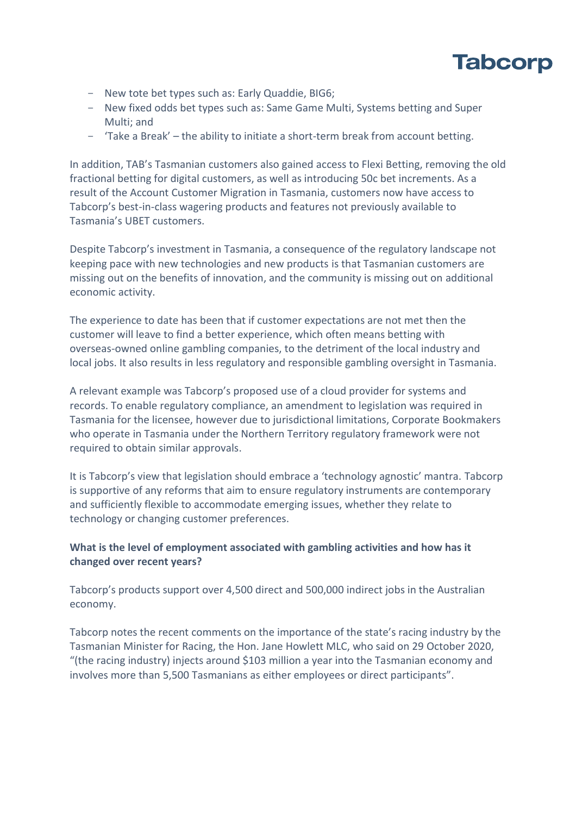

- New tote bet types such as: Early Quaddie, BIG6;
- New fixed odds bet types such as: Same Game Multi, Systems betting and Super Multi; and
- 'Take a Break' the ability to initiate a short-term break from account betting.

In addition, TAB's Tasmanian customers also gained access to Flexi Betting, removing the old fractional betting for digital customers, as well as introducing 50c bet increments. As a result of the Account Customer Migration in Tasmania, customers now have access to Tabcorp's best-in-class wagering products and features not previously available to Tasmania's UBET customers.

Despite Tabcorp's investment in Tasmania, a consequence of the regulatory landscape not keeping pace with new technologies and new products is that Tasmanian customers are missing out on the benefits of innovation, and the community is missing out on additional economic activity.

The experience to date has been that if customer expectations are not met then the customer will leave to find a better experience, which often means betting with overseas-owned online gambling companies, to the detriment of the local industry and local jobs. It also results in less regulatory and responsible gambling oversight in Tasmania.

A relevant example was Tabcorp's proposed use of a cloud provider for systems and records. To enable regulatory compliance, an amendment to legislation was required in Tasmania for the licensee, however due to jurisdictional limitations, Corporate Bookmakers who operate in Tasmania under the Northern Territory regulatory framework were not required to obtain similar approvals.

It is Tabcorp's view that legislation should embrace a 'technology agnostic' mantra. Tabcorp is supportive of any reforms that aim to ensure regulatory instruments are contemporary and sufficiently flexible to accommodate emerging issues, whether they relate to technology or changing customer preferences.

# **What is the level of employment associated with gambling activities and how has it changed over recent years?**

Tabcorp's products support over 4,500 direct and 500,000 indirect jobs in the Australian economy.

Tabcorp notes the recent comments on the importance of the state's racing industry by the Tasmanian Minister for Racing, the Hon. Jane Howlett MLC, who said on 29 October 2020, "(the racing industry) injects around \$103 million a year into the Tasmanian economy and involves more than 5,500 Tasmanians as either employees or direct participants".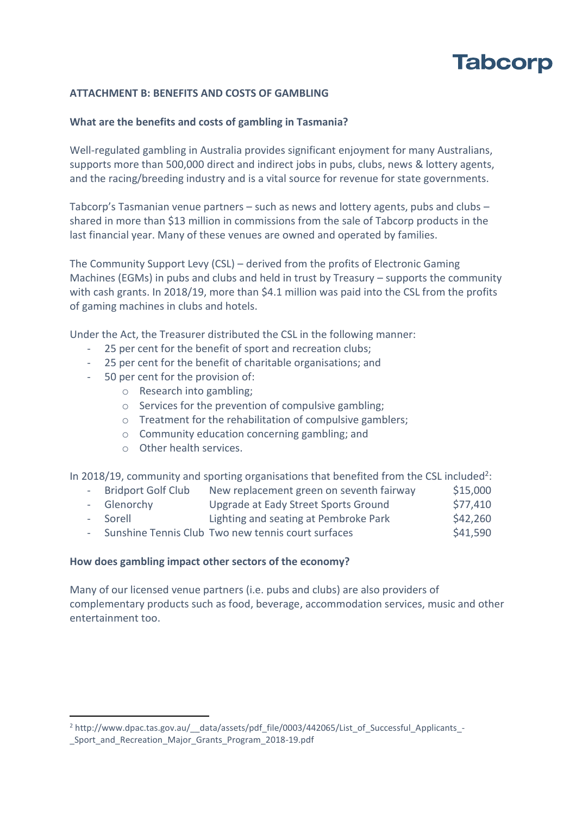# **ATTACHMENT B: BENEFITS AND COSTS OF GAMBLING**

# **What are the benefits and costs of gambling in Tasmania?**

Well-regulated gambling in Australia provides significant enjoyment for many Australians, supports more than 500,000 direct and indirect jobs in pubs, clubs, news & lottery agents, and the racing/breeding industry and is a vital source for revenue for state governments.

Tabcorp's Tasmanian venue partners – such as news and lottery agents, pubs and clubs – shared in more than \$13 million in commissions from the sale of Tabcorp products in the last financial year. Many of these venues are owned and operated by families.

The Community Support Levy (CSL) – derived from the profits of Electronic Gaming Machines (EGMs) in pubs and clubs and held in trust by Treasury – supports the community with cash grants. In 2018/19, more than \$4.1 million was paid into the CSL from the profits of gaming machines in clubs and hotels.

Under the Act, the Treasurer distributed the CSL in the following manner:

- 25 per cent for the benefit of sport and recreation clubs;
- 25 per cent for the benefit of charitable organisations; and
- 50 per cent for the provision of:
	- o Research into gambling;
	- o Services for the prevention of compulsive gambling;
	- o Treatment for the rehabilitation of compulsive gamblers;
	- o Community education concerning gambling; and
	- o Other health services.

In 2018/19, community and sporting organisations that benefited from the CSL included<sup>2</sup>:

- Bridport Golf Club New replacement green on seventh fairway \$15,000 - Glenorchy Upgrade at Eady Street Sports Ground \$77,410
- Sorell Lighting and seating at Pembroke Park \$42,260
- Sunshine Tennis Club Two new tennis court surfaces  $\frac{\text{S41,590}}{\text{S41,590}}$

# **How does gambling impact other sectors of the economy?**

Many of our licensed venue partners (i.e. pubs and clubs) are also providers of complementary products such as food, beverage, accommodation services, music and other entertainment too.

<sup>&</sup>lt;sup>2</sup> http://www.dpac.tas.gov.au/\_\_data/assets/pdf\_file/0003/442065/List\_of\_Successful\_Applicants\_-

\_Sport\_and\_Recreation\_Major\_Grants\_Program\_2018-19.pdf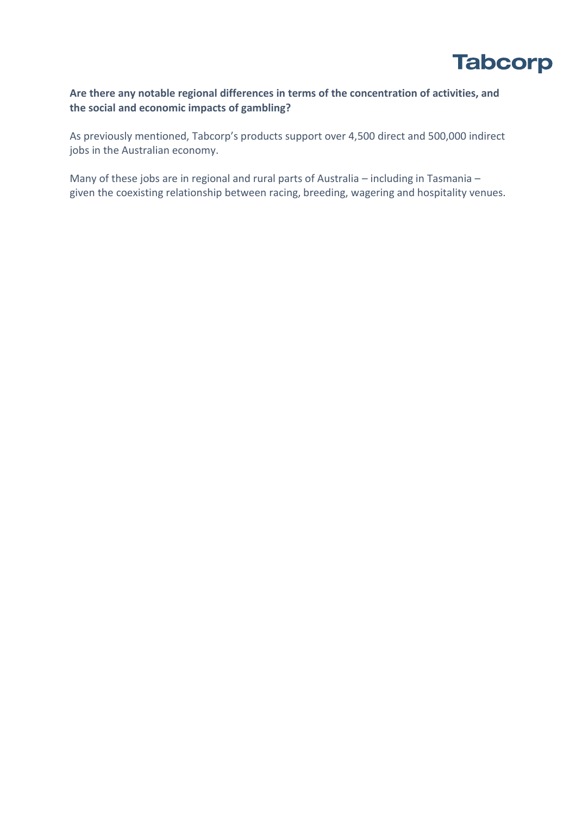

# **Are there any notable regional differences in terms of the concentration of activities, and the social and economic impacts of gambling?**

As previously mentioned, Tabcorp's products support over 4,500 direct and 500,000 indirect jobs in the Australian economy.

Many of these jobs are in regional and rural parts of Australia – including in Tasmania – given the coexisting relationship between racing, breeding, wagering and hospitality venues.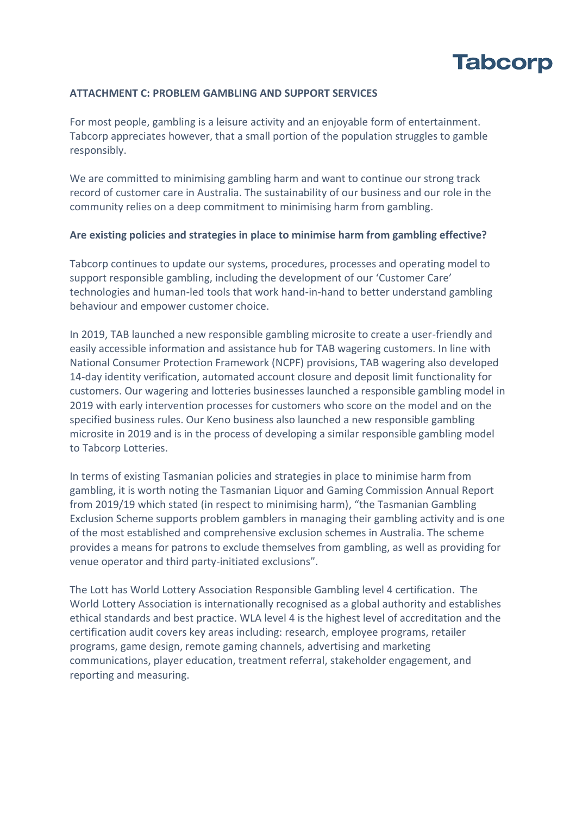

### **ATTACHMENT C: PROBLEM GAMBLING AND SUPPORT SERVICES**

For most people, gambling is a leisure activity and an enjoyable form of entertainment. Tabcorp appreciates however, that a small portion of the population struggles to gamble responsibly.

We are committed to minimising gambling harm and want to continue our strong track record of customer care in Australia. The sustainability of our business and our role in the community relies on a deep commitment to minimising harm from gambling.

### **Are existing policies and strategies in place to minimise harm from gambling effective?**

Tabcorp continues to update our systems, procedures, processes and operating model to support responsible gambling, including the development of our 'Customer Care' technologies and human-led tools that work hand-in-hand to better understand gambling behaviour and empower customer choice.

In 2019, TAB launched a new responsible gambling microsite to create a user-friendly and easily accessible information and assistance hub for TAB wagering customers. In line with National Consumer Protection Framework (NCPF) provisions, TAB wagering also developed 14-day identity verification, automated account closure and deposit limit functionality for customers. Our wagering and lotteries businesses launched a responsible gambling model in 2019 with early intervention processes for customers who score on the model and on the specified business rules. Our Keno business also launched a new responsible gambling microsite in 2019 and is in the process of developing a similar responsible gambling model to Tabcorp Lotteries.

In terms of existing Tasmanian policies and strategies in place to minimise harm from gambling, it is worth noting the Tasmanian Liquor and Gaming Commission Annual Report from 2019/19 which stated (in respect to minimising harm), "the Tasmanian Gambling Exclusion Scheme supports problem gamblers in managing their gambling activity and is one of the most established and comprehensive exclusion schemes in Australia. The scheme provides a means for patrons to exclude themselves from gambling, as well as providing for venue operator and third party-initiated exclusions".

The Lott has World Lottery Association Responsible Gambling level 4 certification. The World Lottery Association is internationally recognised as a global authority and establishes ethical standards and best practice. WLA level 4 is the highest level of accreditation and the certification audit covers key areas including: research, employee programs, retailer programs, game design, remote gaming channels, advertising and marketing communications, player education, treatment referral, stakeholder engagement, and reporting and measuring.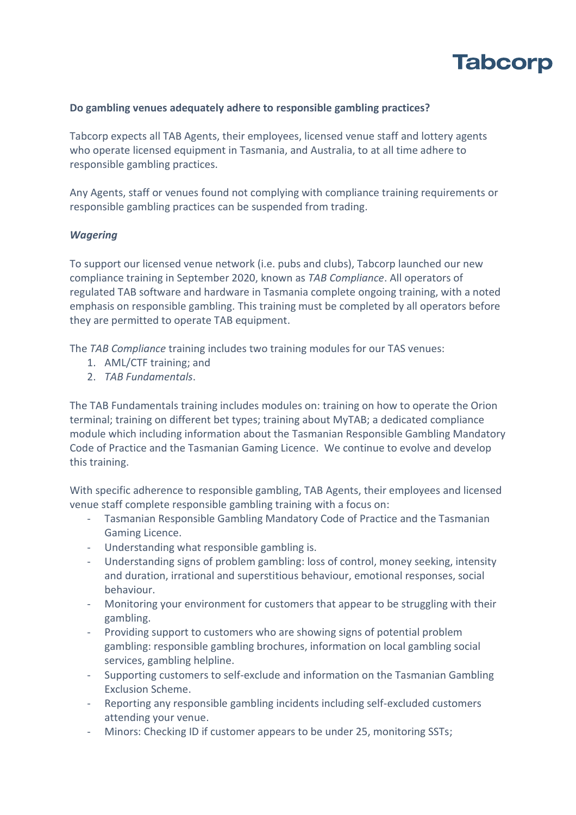

# **Do gambling venues adequately adhere to responsible gambling practices?**

Tabcorp expects all TAB Agents, their employees, licensed venue staff and lottery agents who operate licensed equipment in Tasmania, and Australia, to at all time adhere to responsible gambling practices.

Any Agents, staff or venues found not complying with compliance training requirements or responsible gambling practices can be suspended from trading.

### *Wagering*

To support our licensed venue network (i.e. pubs and clubs), Tabcorp launched our new compliance training in September 2020, known as *TAB Compliance*. All operators of regulated TAB software and hardware in Tasmania complete ongoing training, with a noted emphasis on responsible gambling. This training must be completed by all operators before they are permitted to operate TAB equipment.

The *TAB Compliance* training includes two training modules for our TAS venues:

- 1. AML/CTF training; and
- 2. *TAB Fundamentals*.

The TAB Fundamentals training includes modules on: training on how to operate the Orion terminal; training on different bet types; training about MyTAB; a dedicated compliance module which including information about the Tasmanian Responsible Gambling Mandatory Code of Practice and the Tasmanian Gaming Licence. We continue to evolve and develop this training.

With specific adherence to responsible gambling, TAB Agents, their employees and licensed venue staff complete responsible gambling training with a focus on:

- Tasmanian Responsible Gambling Mandatory Code of Practice and the Tasmanian Gaming Licence.
- Understanding what responsible gambling is.
- Understanding signs of problem gambling: loss of control, money seeking, intensity and duration, irrational and superstitious behaviour, emotional responses, social behaviour.
- Monitoring your environment for customers that appear to be struggling with their gambling.
- Providing support to customers who are showing signs of potential problem gambling: responsible gambling brochures, information on local gambling social services, gambling helpline.
- Supporting customers to self-exclude and information on the Tasmanian Gambling Exclusion Scheme.
- Reporting any responsible gambling incidents including self-excluded customers attending your venue.
- Minors: Checking ID if customer appears to be under 25, monitoring SSTs;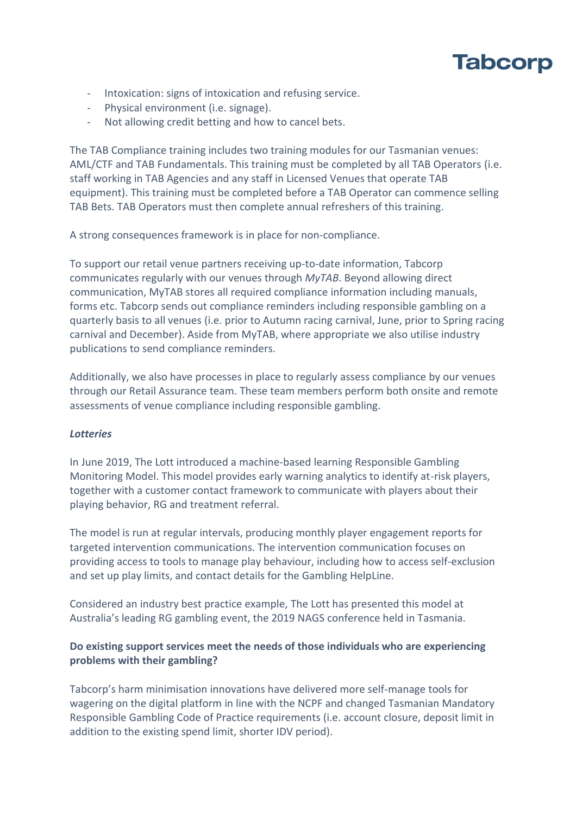- Intoxication: signs of intoxication and refusing service.
- Physical environment (i.e. signage).
- Not allowing credit betting and how to cancel bets.

The TAB Compliance training includes two training modules for our Tasmanian venues: AML/CTF and TAB Fundamentals. This training must be completed by all TAB Operators (i.e. staff working in TAB Agencies and any staff in Licensed Venues that operate TAB equipment). This training must be completed before a TAB Operator can commence selling TAB Bets. TAB Operators must then complete annual refreshers of this training.

A strong consequences framework is in place for non-compliance.

To support our retail venue partners receiving up-to-date information, Tabcorp communicates regularly with our venues through *MyTAB*. Beyond allowing direct communication, MyTAB stores all required compliance information including manuals, forms etc. Tabcorp sends out compliance reminders including responsible gambling on a quarterly basis to all venues (i.e. prior to Autumn racing carnival, June, prior to Spring racing carnival and December). Aside from MyTAB, where appropriate we also utilise industry publications to send compliance reminders.

Additionally, we also have processes in place to regularly assess compliance by our venues through our Retail Assurance team. These team members perform both onsite and remote assessments of venue compliance including responsible gambling.

# *Lotteries*

In June 2019, The Lott introduced a machine-based learning Responsible Gambling Monitoring Model. This model provides early warning analytics to identify at-risk players, together with a customer contact framework to communicate with players about their playing behavior, RG and treatment referral.

The model is run at regular intervals, producing monthly player engagement reports for targeted intervention communications. The intervention communication focuses on providing access to tools to manage play behaviour, including how to access self-exclusion and set up play limits, and contact details for the Gambling HelpLine.

Considered an industry best practice example, The Lott has presented this model at Australia's leading RG gambling event, the 2019 NAGS conference held in Tasmania.

# **Do existing support services meet the needs of those individuals who are experiencing problems with their gambling?**

Tabcorp's harm minimisation innovations have delivered more self-manage tools for wagering on the digital platform in line with the NCPF and changed Tasmanian Mandatory Responsible Gambling Code of Practice requirements (i.e. account closure, deposit limit in addition to the existing spend limit, shorter IDV period).